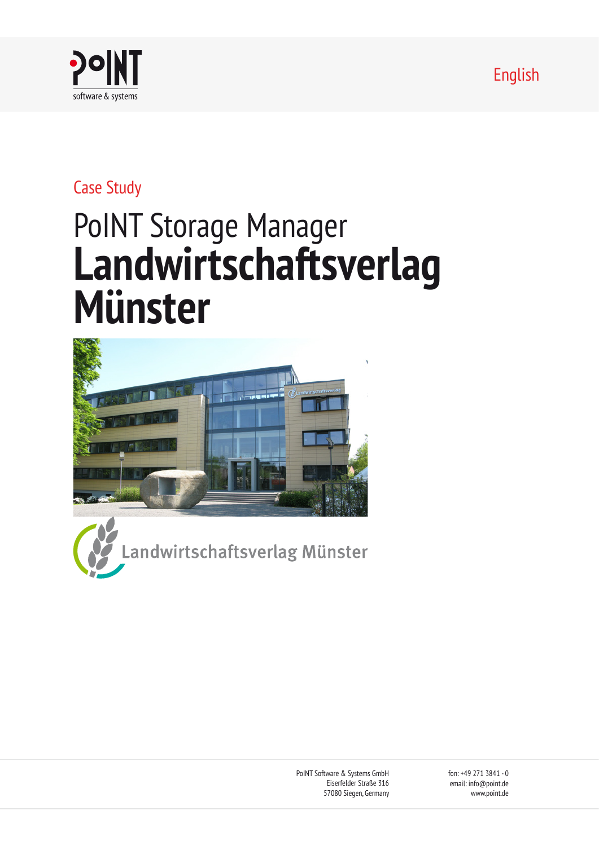English



## Case Study

# PoINT Storage Manager **Landwirtschaftsverlag Münster**



andwirtschaftsverlag Münster

PoINT Software & Systems GmbH Eiserfelder Straße 316 57080 Siegen, Germany fon: +49 271 3841 - 0 email: info@point.de www.point.de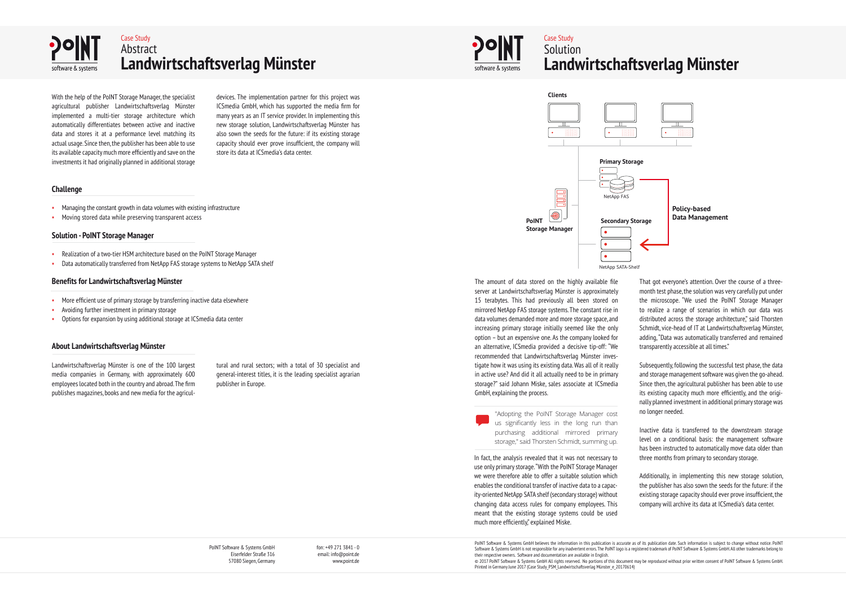PoINT Software & Systems GmbH Eiserfelder Straße 316 57080 Siegen, Germany fon: +49 271 3841 - 0 email: info@point.de www.point.de

PoINT Software & Systems GmbH believes the information in this publication is accurate as of its publication date. Such information is subject to change without notice. PoINT Software & Systems GmbH is not responsible for any inadvertent errors. The PoINT logo is a registered trademark of PoINT Software & Systems GmbH. All other trademarks belong to their respective owners. Software and documentation are available in English. © 2017 PoINT Software & Systems GmbH All rights reserved. No portions of this document may be reproduced without prior written consent of PoINT Software & Systems GmbH. Printed in Germany June 2017 (Case Study PSM\_Landwirtschaftsverlag Münster\_e\_20170614)





### Case Study **Solution Landwirtschaftsverlag Münster**

#### **Challenge**

#### **Solution - PoINT Storage Manager**

#### **Benefits for Landwirtschaftsverlag Münster**

#### **About Landwirtschaftsverlag Münster**

- Managing the constant growth in data volumes with existing infrastructure
- Moving stored data while preserving transparent access

- Realization of a two-tier HSM architecture based on the PoINT Storage Manager
- Data automatically transferred from NetApp FAS storage systems to NetApp SATA shelf

- More efficient use of primary storage by transferring inactive data elsewhere
- Avoiding further investment in primary storage
- Options for expansion by using additional storage at ICSmedia data center

With the help of the PoINT Storage Manager, the specialist agricultural publisher Landwirtschaftsverlag Münster implemented a multi-tier storage architecture which automatically differentiates between active and inactive data and stores it at a performance level matching its actual usage. Since then, the publisher has been able to use its available capacity much more efficiently and save on the investments it had originally planned in additional storage

Landwirtschaftsverlag Münster is one of the 100 largest media companies in Germany, with approximately 600 employees located both in the country and abroad. The firm publishes magazines, books and new media for the agricul-

devices. The implementation partner for this project was ICSmedia GmbH, which has supported the media firm for many years as an IT service provider. In implementing this new storage solution, Landwirtschaftsverlag Münster has also sown the seeds for the future: if its existing storage capacity should ever prove insufficient, the company will store its data at ICSmedia's data center.

tural and rural sectors; with a total of 30 specialist and general-interest titles, it is the leading specialist agrarian publisher in Europe.



"Adopting the PoINT Storage Manager cost us significantly less in the long run than purchasing additional mirrored primary storage," said Thorsten Schmidt, summing up.

The amount of data stored on the highly available file server at Landwirtschaftsverlag Münster is approximately 15 terabytes. This had previously all been stored on mirrored NetApp FAS storage systems. The constant rise in data volumes demanded more and more storage space, and increasing primary storage initially seemed like the only option – but an expensive one. As the company looked for an alternative, ICSmedia provided a decisive tip-off: "We recommended that Landwirtschaftsverlag Münster investigate how it was using its existing data. Was all of it really in active use? And did it all actually need to be in primary storage?" said Johann Miske, sales associate at ICSmedia GmbH, explaining the process.

**Policy-based Data Management**



In fact, the analysis revealed that it was not necessary to use only primary storage. "With the PoINT Storage Manager we were therefore able to offer a suitable solution which enables the conditional transfer of inactive data to a capacity-oriented NetApp SATA shelf (secondary storage) without changing data access rules for company employees. This meant that the existing storage systems could be used much more efficiently," explained Miske.

That got everyone's attention. Over the course of a threemonth test phase, the solution was very carefully put under the microscope. "We used the PoINT Storage Manager to realize a range of scenarios in which our data was distributed across the storage architecture," said Thorsten Schmidt, vice-head of IT at Landwirtschaftsverlag Münster, adding, "Data was automatically transferred and remained transparently accessible at all times."

Subsequently, following the successful test phase, the data and storage management software was given the go-ahead. Since then, the agricultural publisher has been able to use its existing capacity much more efficiently, and the originally planned investment in additional primary storage was no longer needed.

Inactive data is transferred to the downstream storage level on a conditional basis: the management software has been instructed to automatically move data older than three months from primary to secondary storage.

Additionally, in implementing this new storage solution, the publisher has also sown the seeds for the future: if the existing storage capacity should ever prove insufficient, the company will archive its data at ICSmedia's data center.